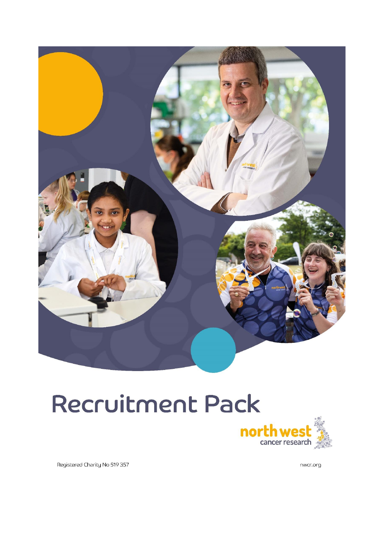

# Recruitment Pack



Registered Charity No 519 357

nwcr.org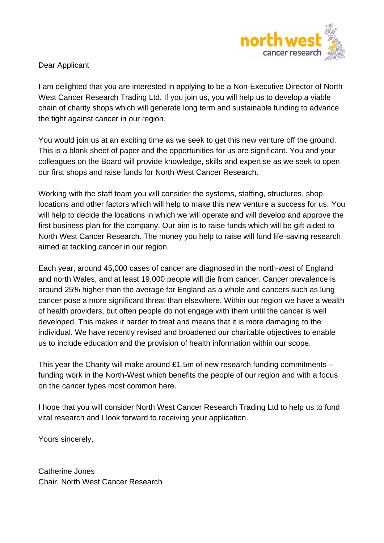

Dear Applicant

I am delighted that you are interested in applying to be a Non-Executive Director of North West Cancer Research Trading Ltd. If you join us, you will help us to develop a viable chain of charity shops which will generate long term and sustainable funding to advance the fight against cancer in our region.

You would join us at an exciting time as we seek to get this new venture off the ground. This is a blank sheet of paper and the opportunities for us are significant. You and your colleagues on the Board will provide knowledge, skills and expertise as we seek to open our first shops and raise funds for North West Cancer Research.

Working with the staff team you will consider the systems, staffing, structures, shop locations and other factors which will help to make this new venture a success for us. You will help to decide the locations in which we will operate and will develop and approve the first business plan for the company. Our aim is to raise funds which will be gift-aided to North West Cancer Research. The money you help to raise will fund life-saving research aimed at tackling cancer in our region.

Each year, around 45,000 cases of cancer are diagnosed in the north-west of England and north Wales, and at least 19,000 people will die from cancer. Cancer prevalence is around 25% higher than the average for England as a whole and cancers such as lung cancer pose a more significant threat than elsewhere. Within our region we have a wealth of health providers, but often people do not engage with them until the cancer is well developed. This makes it harder to treat and means that it is more damaging to the individual. We have recently revised and broadened our charitable objectives to enable us to include education and the provision of health information within our scope.

This year the Charity will make around £1.5m of new research funding commitments – funding work in the North-West which benefits the people of our region and with a focus on the cancer types most common here.

I hope that you will consider North West Cancer Research Trading Ltd to help us to fund vital research and I look forward to receiving your application.

Yours sincerely,

Catherine Jones Chair, North West Cancer Research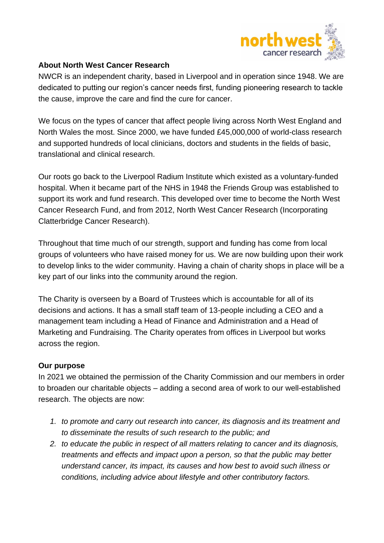

## **About North West Cancer Research**

NWCR is an independent charity, based in Liverpool and in operation since 1948. We are dedicated to putting our region's cancer needs first, funding pioneering research to tackle the cause, improve the care and find the cure for cancer.

We focus on the types of cancer that affect people living across North West England and North Wales the most. Since 2000, we have funded £45,000,000 of world-class research and supported hundreds of local clinicians, doctors and students in the fields of basic, translational and clinical research.

Our roots go back to the Liverpool Radium Institute which existed as a voluntary-funded hospital. When it became part of the NHS in 1948 the Friends Group was established to support its work and fund research. This developed over time to become the North West Cancer Research Fund, and from 2012, North West Cancer Research (Incorporating Clatterbridge Cancer Research).

Throughout that time much of our strength, support and funding has come from local groups of volunteers who have raised money for us. We are now building upon their work to develop links to the wider community. Having a chain of charity shops in place will be a key part of our links into the community around the region.

The Charity is overseen by a Board of Trustees which is accountable for all of its decisions and actions. It has a small staff team of 13-people including a CEO and a management team including a Head of Finance and Administration and a Head of Marketing and Fundraising. The Charity operates from offices in Liverpool but works across the region.

## **Our purpose**

In 2021 we obtained the permission of the Charity Commission and our members in order to broaden our charitable objects – adding a second area of work to our well-established research. The objects are now:

- *1. to promote and carry out research into cancer, its diagnosis and its treatment and to disseminate the results of such research to the public; and*
- *2. to educate the public in respect of all matters relating to cancer and its diagnosis, treatments and effects and impact upon a person, so that the public may better understand cancer, its impact, its causes and how best to avoid such illness or conditions, including advice about lifestyle and other contributory factors.*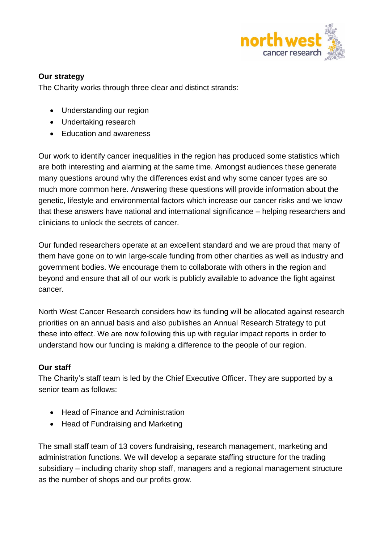

## **Our strategy**

The Charity works through three clear and distinct strands:

- Understanding our region
- Undertaking research
- Education and awareness

Our work to identify cancer inequalities in the region has produced some statistics which are both interesting and alarming at the same time. Amongst audiences these generate many questions around why the differences exist and why some cancer types are so much more common here. Answering these questions will provide information about the genetic, lifestyle and environmental factors which increase our cancer risks and we know that these answers have national and international significance – helping researchers and clinicians to unlock the secrets of cancer.

Our funded researchers operate at an excellent standard and we are proud that many of them have gone on to win large-scale funding from other charities as well as industry and government bodies. We encourage them to collaborate with others in the region and beyond and ensure that all of our work is publicly available to advance the fight against cancer.

North West Cancer Research considers how its funding will be allocated against research priorities on an annual basis and also publishes an Annual Research Strategy to put these into effect. We are now following this up with regular impact reports in order to understand how our funding is making a difference to the people of our region.

## **Our staff**

The Charity's staff team is led by the Chief Executive Officer. They are supported by a senior team as follows:

- Head of Finance and Administration
- Head of Fundraising and Marketing

The small staff team of 13 covers fundraising, research management, marketing and administration functions. We will develop a separate staffing structure for the trading subsidiary – including charity shop staff, managers and a regional management structure as the number of shops and our profits grow.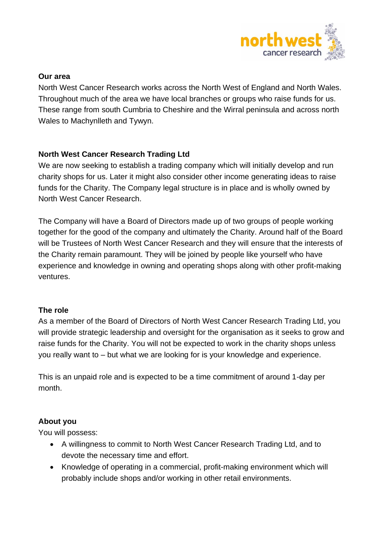

#### **Our area**

North West Cancer Research works across the North West of England and North Wales. Throughout much of the area we have local branches or groups who raise funds for us. These range from south Cumbria to Cheshire and the Wirral peninsula and across north Wales to Machynlleth and Tywyn.

## **North West Cancer Research Trading Ltd**

We are now seeking to establish a trading company which will initially develop and run charity shops for us. Later it might also consider other income generating ideas to raise funds for the Charity. The Company legal structure is in place and is wholly owned by North West Cancer Research.

The Company will have a Board of Directors made up of two groups of people working together for the good of the company and ultimately the Charity. Around half of the Board will be Trustees of North West Cancer Research and they will ensure that the interests of the Charity remain paramount. They will be joined by people like yourself who have experience and knowledge in owning and operating shops along with other profit-making ventures.

## **The role**

As a member of the Board of Directors of North West Cancer Research Trading Ltd, you will provide strategic leadership and oversight for the organisation as it seeks to grow and raise funds for the Charity. You will not be expected to work in the charity shops unless you really want to – but what we are looking for is your knowledge and experience.

This is an unpaid role and is expected to be a time commitment of around 1-day per month.

## **About you**

You will possess:

- A willingness to commit to North West Cancer Research Trading Ltd, and to devote the necessary time and effort.
- Knowledge of operating in a commercial, profit-making environment which will probably include shops and/or working in other retail environments.